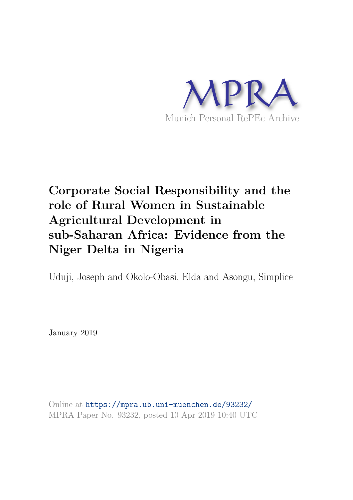

# **Corporate Social Responsibility and the role of Rural Women in Sustainable Agricultural Development in sub-Saharan Africa: Evidence from the Niger Delta in Nigeria**

Uduji, Joseph and Okolo-Obasi, Elda and Asongu, Simplice

January 2019

Online at https://mpra.ub.uni-muenchen.de/93232/ MPRA Paper No. 93232, posted 10 Apr 2019 10:40 UTC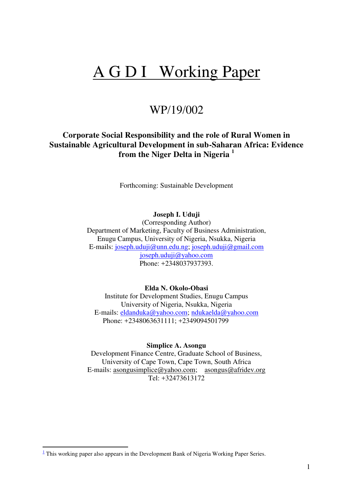# A G D I Working Paper

# WP/19/002

# **Corporate Social Responsibility and the role of Rural Women in Sustainable Agricultural Development in sub-Saharan Africa: Evidence from the Niger Delta in Nigeria <sup>1</sup>**

Forthcoming: Sustainable Development

**Joseph I. Uduji** 

(Corresponding Author) Department of Marketing, Faculty of Business Administration, Enugu Campus, University of Nigeria, Nsukka, Nigeria E-mails: [joseph.uduji@unn.edu.ng;](mailto:joseph.uduji@unn.edu.ng) [joseph.uduji@gmail.com](mailto:joseph.uduji@gmail.com) [joseph.uduji@yahoo.com](mailto:joseph.uduji@yahoo.com) Phone: +2348037937393.

#### **Elda N. Okolo-Obasi**

Institute for Development Studies, Enugu Campus University of Nigeria, Nsukka, Nigeria E-mails: [eldanduka@yahoo.com;](mailto:eldanduka@yahoo.com) [ndukaelda@yahoo.com](mailto:ndukaelda@yahoo.com)  Phone: +2348063631111; +2349094501799

**Simplice A. Asongu** 

Development Finance Centre, Graduate School of Business, University of Cape Town, Cape Town, South Africa E-mails: [asongusimplice@yahoo.com;](mailto:asongusimplice@yahoo.com) [asongus@afridev.org](mailto:asongus@afridev.org)  Tel: +32473613172

<u>.</u>

 $\frac{1}{2}$  This working paper also appears in the Development Bank of Nigeria Working Paper Series.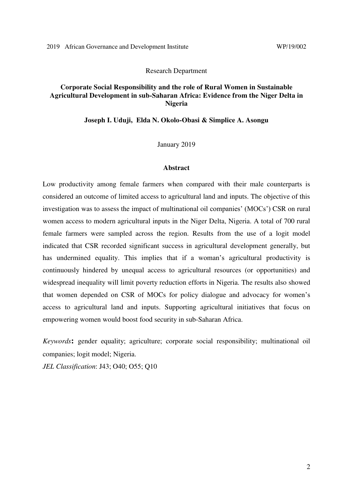#### Research Department

# **Corporate Social Responsibility and the role of Rural Women in Sustainable Agricultural Development in sub-Saharan Africa: Evidence from the Niger Delta in Nigeria**

#### **Joseph I. Uduji, Elda N. Okolo-Obasi & Simplice A. Asongu**

January 2019

#### **Abstract**

Low productivity among female farmers when compared with their male counterparts is considered an outcome of limited access to agricultural land and inputs. The objective of this investigation was to assess the impact of multinational oil companies' (MOCs') CSR on rural women access to modern agricultural inputs in the Niger Delta, Nigeria. A total of 700 rural female farmers were sampled across the region. Results from the use of a logit model indicated that CSR recorded significant success in agricultural development generally, but has undermined equality. This implies that if a woman's agricultural productivity is continuously hindered by unequal access to agricultural resources (or opportunities) and widespread inequality will limit poverty reduction efforts in Nigeria. The results also showed that women depended on CSR of MOCs for policy dialogue and advocacy for women's access to agricultural land and inputs. Supporting agricultural initiatives that focus on empowering women would boost food security in sub-Saharan Africa.

*Keywords***:** gender equality; agriculture; corporate social responsibility; multinational oil companies; logit model; Nigeria.

*JEL Classification*: J43; O40; O55; Q10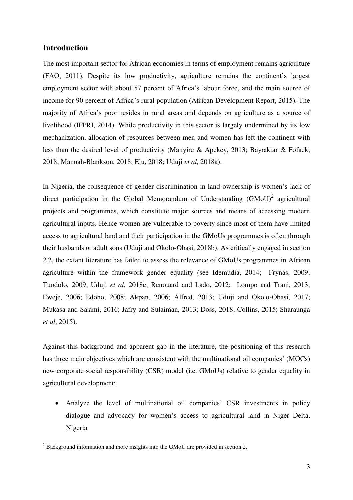# **Introduction**

The most important sector for African economies in terms of employment remains agriculture (FAO, 2011). Despite its low productivity, agriculture remains the continent's largest employment sector with about 57 percent of Africa's labour force, and the main source of income for 90 percent of Africa's rural population (African Development Report, 2015). The majority of Africa's poor resides in rural areas and depends on agriculture as a source of livelihood (IFPRI, 2014). While productivity in this sector is largely undermined by its low mechanization, allocation of resources between men and women has left the continent with less than the desired level of productivity (Manyire & Apekey, 2013; Bayraktar & Fofack, 2018; Mannah-Blankson, 2018; Elu, 2018; Uduji *et al,* 2018a).

In Nigeria, the consequence of gender discrimination in land ownership is women's lack of direct participation in the Global Memorandum of Understanding  $(GMoU)^2$  agricultural projects and programmes, which constitute major sources and means of accessing modern agricultural inputs. Hence women are vulnerable to poverty since most of them have limited access to agricultural land and their participation in the GMoUs programmes is often through their husbands or adult sons (Uduji and Okolo-Obasi, 2018b). As critically engaged in section 2.2, the extant literature has failed to assess the relevance of GMoUs programmes in African agriculture within the framework gender equality (see Idemudia, 2014; Frynas, 2009; Tuodolo, 2009; Uduji *et al,* 2018c; Renouard and Lado, 2012; Lompo and Trani, 2013; Eweje, 2006; Edoho, 2008; Akpan, 2006; Alfred, 2013; Uduji and Okolo-Obasi, 2017; Mukasa and Salami, 2016; Jafry and Sulaiman, 2013; Doss, 2018; Collins, 2015; Sharaunga *et al*, 2015).

Against this background and apparent gap in the literature, the positioning of this research has three main objectives which are consistent with the multinational oil companies' (MOCs) new corporate social responsibility (CSR) model (i.e. GMoUs) relative to gender equality in agricultural development:

 Analyze the level of multinational oil companies' CSR investments in policy dialogue and advocacy for women's access to agricultural land in Niger Delta, Nigeria.

<sup>&</sup>lt;sup>2</sup> Background information and more insights into the GMoU are provided in section 2.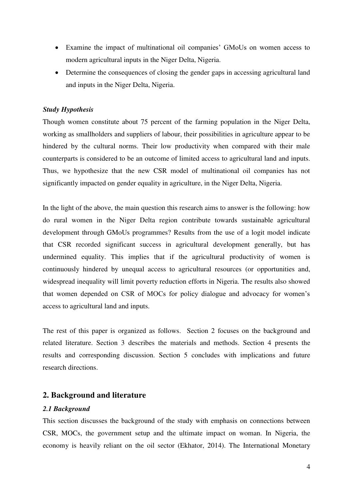- Examine the impact of multinational oil companies' GMoUs on women access to modern agricultural inputs in the Niger Delta, Nigeria.
- Determine the consequences of closing the gender gaps in accessing agricultural land and inputs in the Niger Delta, Nigeria.

#### *Study Hypothesis*

Though women constitute about 75 percent of the farming population in the Niger Delta, working as smallholders and suppliers of labour, their possibilities in agriculture appear to be hindered by the cultural norms. Their low productivity when compared with their male counterparts is considered to be an outcome of limited access to agricultural land and inputs. Thus, we hypothesize that the new CSR model of multinational oil companies has not significantly impacted on gender equality in agriculture, in the Niger Delta, Nigeria.

In the light of the above, the main question this research aims to answer is the following: how do rural women in the Niger Delta region contribute towards sustainable agricultural development through GMoUs programmes? Results from the use of a logit model indicate that CSR recorded significant success in agricultural development generally, but has undermined equality. This implies that if the agricultural productivity of women is continuously hindered by unequal access to agricultural resources (or opportunities and, widespread inequality will limit poverty reduction efforts in Nigeria. The results also showed that women depended on CSR of MOCs for policy dialogue and advocacy for women's access to agricultural land and inputs.

The rest of this paper is organized as follows. Section 2 focuses on the background and related literature. Section 3 describes the materials and methods. Section 4 presents the results and corresponding discussion. Section 5 concludes with implications and future research directions.

# **2. Background and literature**

#### *2.1 Background*

This section discusses the background of the study with emphasis on connections between CSR, MOCs, the government setup and the ultimate impact on woman. In Nigeria, the economy is heavily reliant on the oil sector (Ekhator, 2014). The International Monetary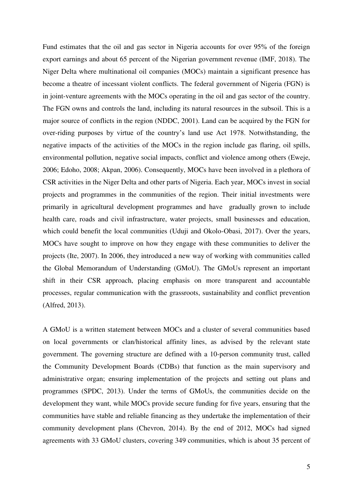Fund estimates that the oil and gas sector in Nigeria accounts for over 95% of the foreign export earnings and about 65 percent of the Nigerian government revenue (IMF, 2018). The Niger Delta where multinational oil companies (MOCs) maintain a significant presence has become a theatre of incessant violent conflicts. The federal government of Nigeria (FGN) is in joint-venture agreements with the MOCs operating in the oil and gas sector of the country. The FGN owns and controls the land, including its natural resources in the subsoil. This is a major source of conflicts in the region (NDDC, 2001). Land can be acquired by the FGN for over-riding purposes by virtue of the country's land use Act 1978. Notwithstanding, the negative impacts of the activities of the MOCs in the region include gas flaring, oil spills, environmental pollution, negative social impacts, conflict and violence among others (Eweje, 2006; Edoho, 2008; Akpan, 2006). Consequently, MOCs have been involved in a plethora of CSR activities in the Niger Delta and other parts of Nigeria. Each year, MOCs invest in social projects and programmes in the communities of the region. Their initial investments were primarily in agricultural development programmes and have gradually grown to include health care, roads and civil infrastructure, water projects, small businesses and education, which could benefit the local communities (Uduji and Okolo-Obasi, 2017). Over the years, MOCs have sought to improve on how they engage with these communities to deliver the projects (Ite, 2007). In 2006, they introduced a new way of working with communities called the Global Memorandum of Understanding (GMoU). The GMoUs represent an important shift in their CSR approach, placing emphasis on more transparent and accountable processes, regular communication with the grassroots, sustainability and conflict prevention (Alfred, 2013).

A GMoU is a written statement between MOCs and a cluster of several communities based on local governments or clan/historical affinity lines, as advised by the relevant state government. The governing structure are defined with a 10-person community trust, called the Community Development Boards (CDBs) that function as the main supervisory and administrative organ; ensuring implementation of the projects and setting out plans and programmes (SPDC, 2013). Under the terms of GMoUs, the communities decide on the development they want, while MOCs provide secure funding for five years, ensuring that the communities have stable and reliable financing as they undertake the implementation of their community development plans (Chevron, 2014). By the end of 2012, MOCs had signed agreements with 33 GMoU clusters, covering 349 communities, which is about 35 percent of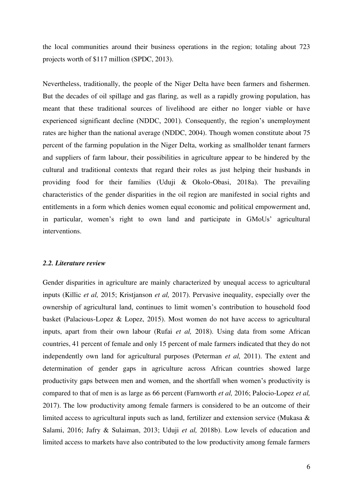the local communities around their business operations in the region; totaling about 723 projects worth of \$117 million (SPDC, 2013).

Nevertheless, traditionally, the people of the Niger Delta have been farmers and fishermen. But the decades of oil spillage and gas flaring, as well as a rapidly growing population, has meant that these traditional sources of livelihood are either no longer viable or have experienced significant decline (NDDC, 2001). Consequently, the region's unemployment rates are higher than the national average (NDDC, 2004). Though women constitute about 75 percent of the farming population in the Niger Delta, working as smallholder tenant farmers and suppliers of farm labour, their possibilities in agriculture appear to be hindered by the cultural and traditional contexts that regard their roles as just helping their husbands in providing food for their families (Uduji & Okolo-Obasi, 2018a). The prevailing characteristics of the gender disparities in the oil region are manifested in social rights and entitlements in a form which denies women equal economic and political empowerment and, in particular, women's right to own land and participate in GMoUs' agricultural interventions.

#### *2.2. Literature review*

Gender disparities in agriculture are mainly characterized by unequal access to agricultural inputs (Killic *et al,* 2015; Kristjanson *et al,* 2017). Pervasive inequality, especially over the ownership of agricultural land, continues to limit women's contribution to household food basket (Palacious-Lopez & Lopez, 2015). Most women do not have access to agricultural inputs, apart from their own labour (Rufai *et al,* 2018). Using data from some African countries, 41 percent of female and only 15 percent of male farmers indicated that they do not independently own land for agricultural purposes (Peterman *et al,* 2011). The extent and determination of gender gaps in agriculture across African countries showed large productivity gaps between men and women, and the shortfall when women's productivity is compared to that of men is as large as 66 percent (Farnworth *et al,* 2016; Palocio-Lopez *et al,*  2017). The low productivity among female farmers is considered to be an outcome of their limited access to agricultural inputs such as land, fertilizer and extension service (Mukasa & Salami, 2016; Jafry & Sulaiman, 2013; Uduji *et al,* 2018b). Low levels of education and limited access to markets have also contributed to the low productivity among female farmers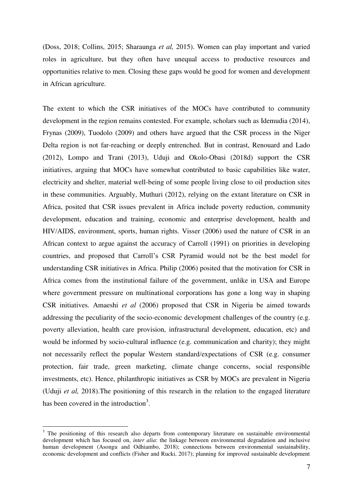(Doss, 2018; Collins, 2015; Sharaunga *et al,* 2015). Women can play important and varied roles in agriculture, but they often have unequal access to productive resources and opportunities relative to men. Closing these gaps would be good for women and development in African agriculture.

The extent to which the CSR initiatives of the MOCs have contributed to community development in the region remains contested. For example, scholars such as Idemudia (2014), Frynas (2009), Tuodolo (2009) and others have argued that the CSR process in the Niger Delta region is not far-reaching or deeply entrenched. But in contrast, Renouard and Lado (2012), Lompo and Trani (2013), Uduji and Okolo-Obasi (2018d) support the CSR initiatives, arguing that MOCs have somewhat contributed to basic capabilities like water, electricity and shelter, material well-being of some people living close to oil production sites in these communities. Arguably, Muthuri (2012), relying on the extant literature on CSR in Africa, posited that CSR issues prevalent in Africa include poverty reduction, community development, education and training, economic and enterprise development, health and HIV/AIDS, environment, sports, human rights. Visser (2006) used the nature of CSR in an African context to argue against the accuracy of Carroll (1991) on priorities in developing countries, and proposed that Carroll's CSR Pyramid would not be the best model for understanding CSR initiatives in Africa. Philip (2006) posited that the motivation for CSR in Africa comes from the institutional failure of the government, unlike in USA and Europe where government pressure on multinational corporations has gone a long way in shaping CSR initiatives. Amaeshi *et al* (2006) proposed that CSR in Nigeria be aimed towards addressing the peculiarity of the socio-economic development challenges of the country (e.g. poverty alleviation, health care provision, infrastructural development, education, etc) and would be informed by socio-cultural influence (e.g. communication and charity); they might not necessarily reflect the popular Western standard/expectations of CSR (e.g. consumer protection, fair trade, green marketing, climate change concerns, social responsible investments, etc). Hence, philanthropic initiatives as CSR by MOCs are prevalent in Nigeria (Uduji *et al,* 2018).The positioning of this research in the relation to the engaged literature has been covered in the introduction<sup>3</sup>.

<u>.</u>

<sup>&</sup>lt;sup>3</sup> The positioning of this research also departs from contemporary literature on sustainable environmental development which has focused on, *inter alia*: the linkage between environmental degradation and inclusive human development (Asongu and Odhiambo, 2018); connections between environmental sustainability, economic development and conflicts (Fisher and Rucki, 2017); planning for improved sustainable development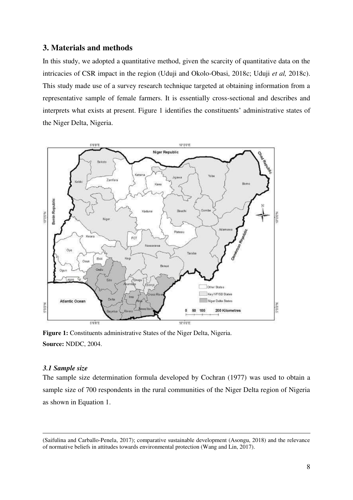# **3. Materials and methods**

In this study, we adopted a quantitative method, given the scarcity of quantitative data on the intricacies of CSR impact in the region (Uduji and Okolo-Obasi, 2018c; Uduji *et al,* 2018c). This study made use of a survey research technique targeted at obtaining information from a representative sample of female farmers. It is essentially cross-sectional and describes and interprets what exists at present. Figure 1 identifies the constituents' administrative states of the Niger Delta, Nigeria.



**Figure 1:** Constituents administrative States of the Niger Delta, Nigeria. **Source:** NDDC, 2004.

#### *3.1 Sample size*

-

The sample size determination formula developed by Cochran (1977) was used to obtain a sample size of 700 respondents in the rural communities of the Niger Delta region of Nigeria as shown in Equation 1.

<sup>(</sup>Saifulina and Carballo-Penela, 2017); comparative sustainable development (Asongu, 2018) and the relevance of normative beliefs in attitudes towards environmental protection (Wang and Lin, 2017).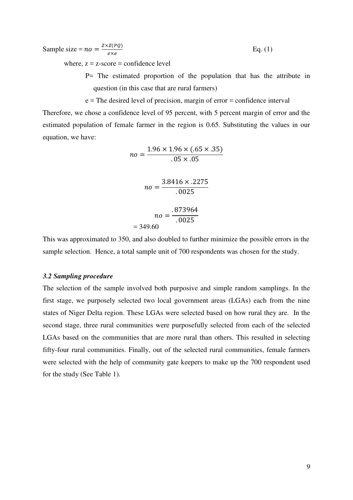Sample size = 
$$
no = \frac{Z \times Z(PQ)}{e \times e}
$$
 Eq. (1)

where,  $z = z$ -score = confidence level

P= The estimated proportion of the population that has the attribute in question (in this case that are rural farmers)

 e = The desired level of precision, margin of error = confidence interval Therefore, we chose a confidence level of 95 percent, with 5 percent margin of error and the estimated population of female farmer in the region is 0.65. Substituting the values in our equation, we have:

$$
no = \frac{1.96 \times 1.96 \times (.65 \times .35)}{.05 \times .05}
$$

$$
no = \frac{3.8416 \times .2275}{.0025}
$$

$$
no = \frac{.873964}{.0025}
$$

$$
= 349.60
$$

This was approximated to 350, and also doubled to further minimize the possible errors in the sample selection. Hence, a total sample unit of 700 respondents was chosen for the study.

#### *3.2 Sampling procedure*

The selection of the sample involved both purposive and simple random samplings. In the first stage, we purposely selected two local government areas (LGAs) each from the nine states of Niger Delta region. These LGAs were selected based on how rural they are. In the second stage, three rural communities were purposefully selected from each of the selected LGAs based on the communities that are more rural than others. This resulted in selecting fifty-four rural communities. Finally, out of the selected rural communities, female farmers were selected with the help of community gate keepers to make up the 700 respondent used for the study (See Table 1).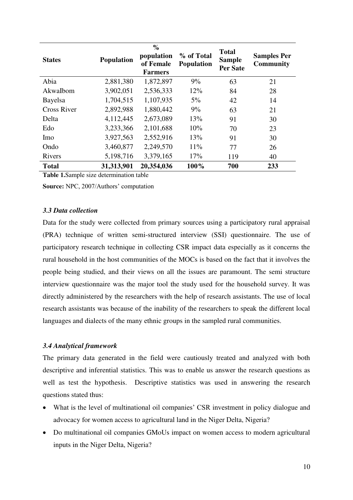| <b>States</b> | Population | $\frac{0}{0}$<br>population<br>of Female<br><b>Farmers</b> | % of Total<br><b>Population</b> | <b>Total</b><br><b>Sample</b><br><b>Per Sate</b> | <b>Samples Per</b><br>Community |
|---------------|------------|------------------------------------------------------------|---------------------------------|--------------------------------------------------|---------------------------------|
| Abia          | 2,881,380  | 1,872,897                                                  | 9%                              | 63                                               | 21                              |
| AkwaIbom      | 3,902,051  | 2,536,333                                                  | 12%                             | 84                                               | 28                              |
| Bayelsa       | 1,704,515  | 1,107,935                                                  | $5\%$                           | 42                                               | 14                              |
| Cross River   | 2,892,988  | 1,880,442                                                  | 9%                              | 63                                               | 21                              |
| Delta         | 4,112,445  | 2,673,089                                                  | 13%                             | 91                                               | 30                              |
| Edo           | 3,233,366  | 2,101,688                                                  | 10%                             | 70                                               | 23                              |
| Imo           | 3,927,563  | 2,552,916                                                  | 13%                             | 91                                               | 30                              |
| Ondo          | 3,460,877  | 2,249,570                                                  | 11%                             | 77                                               | 26                              |
| Rivers        | 5,198,716  | 3,379,165                                                  | 17%                             | 119                                              | 40                              |
| <b>Total</b>  | 31,313,901 | 20,354,036                                                 | 100%                            | 700                                              | 233                             |

**Table 1.**Sample size determination table

**Source:** NPC, 2007/Authors' computation

# *3.3 Data collection*

Data for the study were collected from primary sources using a participatory rural appraisal (PRA) technique of written semi-structured interview (SSI) questionnaire. The use of participatory research technique in collecting CSR impact data especially as it concerns the rural household in the host communities of the MOCs is based on the fact that it involves the people being studied, and their views on all the issues are paramount. The semi structure interview questionnaire was the major tool the study used for the household survey. It was directly administered by the researchers with the help of research assistants. The use of local research assistants was because of the inability of the researchers to speak the different local languages and dialects of the many ethnic groups in the sampled rural communities.

# *3.4 Analytical framework*

The primary data generated in the field were cautiously treated and analyzed with both descriptive and inferential statistics. This was to enable us answer the research questions as well as test the hypothesis. Descriptive statistics was used in answering the research questions stated thus:

- What is the level of multinational oil companies' CSR investment in policy dialogue and advocacy for women access to agricultural land in the Niger Delta, Nigeria?
- Do multinational oil companies GMoUs impact on women access to modern agricultural inputs in the Niger Delta, Nigeria?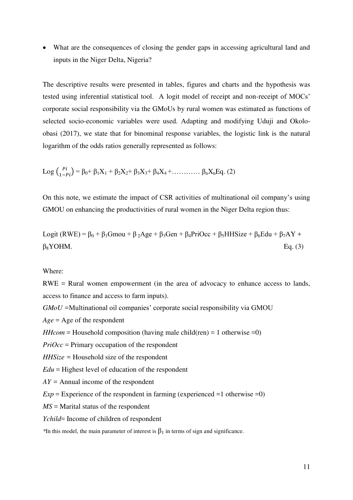What are the consequences of closing the gender gaps in accessing agricultural land and inputs in the Niger Delta, Nigeria?

The descriptive results were presented in tables, figures and charts and the hypothesis was tested using inferential statistical tool. A logit model of receipt and non-receipt of MOCs' corporate social responsibility via the GMoUs by rural women was estimated as functions of selected socio-economic variables were used. Adapting and modifying Uduji and Okoloobasi (2017), we state that for binominal response variables, the logistic link is the natural logarithm of the odds ratios generally represented as follows:

Log 
$$
\binom{pi}{1-pi} = \beta_0 + \beta_1 X_1 + \beta_2 X_2 + \beta_3 X_3 + \beta_4 X_4 + \dots + \beta_n X_n Eq
$$
. (2)

On this note, we estimate the impact of CSR activities of multinational oil company's using GMOU on enhancing the productivities of rural women in the Niger Delta region thus:

Logit (RWE) = 
$$
β_0 + β_1Gmou + β_2Age + β_3Gen + β_4PriOcc + β_5HHSize + β_6Edu + β_7AY + β_8YOHM.
$$
  
Eq. (3)

#### Where:

RWE = Rural women empowerment (in the area of advocacy to enhance access to lands, access to finance and access to farm inputs).

*GMoU =*Multinational oil companies' corporate social responsibility via GMOU

 $Age = Age$  of the respondent

*HHcom* = Household composition (having male child(ren) = 1 otherwise = 0)

*PriOcc* = Primary occupation of the respondent

*HHSize =* Household size of the respondent

*Edu* = Highest level of education of the respondent

*AY =* Annual income of the respondent

 $Exp =$  Experience of the respondent in farming (experienced  $=1$  otherwise  $=0$ )

*MS* = Marital status of the respondent

*Ychild*= Income of children of respondent

<sup>\*In</sup> this model, the main parameter of interest is  $\beta_1$  in terms of sign and significance.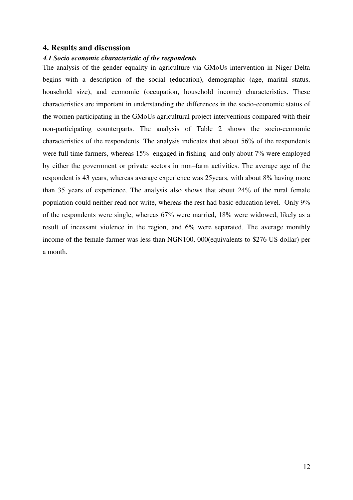# **4. Results and discussion**

### *4.1 Socio economic characteristic of the respondents*

The analysis of the gender equality in agriculture via GMoUs intervention in Niger Delta begins with a description of the social (education), demographic (age, marital status, household size), and economic (occupation, household income) characteristics. These characteristics are important in understanding the differences in the socio-economic status of the women participating in the GMoUs agricultural project interventions compared with their non-participating counterparts. The analysis of Table 2 shows the socio-economic characteristics of the respondents. The analysis indicates that about 56% of the respondents were full time farmers, whereas 15% engaged in fishing and only about 7% were employed by either the government or private sectors in non–farm activities. The average age of the respondent is 43 years, whereas average experience was 25years, with about 8% having more than 35 years of experience. The analysis also shows that about 24% of the rural female population could neither read nor write, whereas the rest had basic education level. Only 9% of the respondents were single, whereas 67% were married, 18% were widowed, likely as a result of incessant violence in the region, and 6% were separated. The average monthly income of the female farmer was less than NGN100, 000(equivalents to \$276 US dollar) per a month.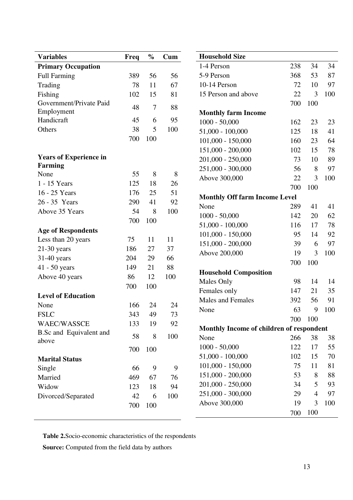| <b>Variables</b>               | Freq | $\%$           | Cum | <b>Household Size</b>                    |     |                     |     |
|--------------------------------|------|----------------|-----|------------------------------------------|-----|---------------------|-----|
| <b>Primary Occupation</b>      |      |                |     | 1-4 Person                               | 238 | 34                  | 34  |
| <b>Full Farming</b>            | 389  | 56             | 56  | 5-9 Person                               | 368 | 53                  | 87  |
| Trading                        | 78   | 11             | 67  | 10-14 Person                             | 72  | 10                  | 97  |
| Fishing                        | 102  | 15             | 81  | 15 Person and above                      | 22  | 3                   | 100 |
| Government/Private Paid        | 48   | $\overline{7}$ | 88  |                                          | 700 | 100                 |     |
| Employment                     |      |                |     | <b>Monthly farm Income</b>               |     |                     |     |
| Handicraft                     | 45   | 6              | 95  | $1000 - 50,000$                          | 162 | 23                  | 23  |
| Others                         | 38   | 5              | 100 | $51,000 - 100,000$                       | 125 | 18                  | 41  |
|                                | 700  | 100            |     | $101,000 - 150,000$                      | 160 | 23                  | 64  |
|                                |      |                |     | 151,000 - 200,000                        | 102 | 15                  | 78  |
| <b>Years of Experience in</b>  |      |                |     | 201,000 - 250,000                        | 73  | 10                  | 89  |
| <b>Farming</b>                 |      |                |     | 251,000 - 300,000                        | 56  | 8                   | 97  |
| None                           | 55   | 8              | 8   | Above 300,000                            | 22  | 3                   | 100 |
| 1 - 15 Years                   | 125  | 18             | 26  |                                          | 700 | 100                 |     |
| 16 - 25 Years                  | 176  | 25             | 51  | <b>Monthly Off farm Income Level</b>     |     |                     |     |
| 26 - 35 Years                  | 290  | 41             | 92  | None                                     | 289 | 41                  | 41  |
| Above 35 Years                 | 54   | 8              | 100 | $1000 - 50,000$                          | 142 | 20                  | 62  |
|                                | 700  | 100            |     | $51,000 - 100,000$                       | 116 | 17                  | 78  |
| <b>Age of Respondents</b>      |      |                |     | $101,000 - 150,000$                      | 95  | 14                  | 92  |
| Less than 20 years             | 75   | 11             | 11  | 151,000 - 200,000                        | 39  | 6                   | 97  |
| $21-30$ years                  | 186  | 27             | 37  | Above 200,000                            | 19  | 3                   | 100 |
| 31-40 years                    | 204  | 29             | 66  |                                          | 700 | 100                 |     |
| 41 - 50 years                  | 149  | 21             | 88  | <b>Household Composition</b>             |     |                     |     |
| Above 40 years                 | 86   | 12             | 100 | Males Only<br>98                         |     | 14                  | 14  |
|                                | 700  | 100            |     | Females only                             | 147 | 21                  | 35  |
| <b>Level of Education</b>      |      |                |     | <b>Males and Females</b>                 | 392 | 56                  | 91  |
| None                           | 166  | 24             | 24  | None                                     | 63  | 9                   | 100 |
| <b>FSLC</b>                    | 343  | 49             | 73  |                                          | 700 | 100                 |     |
| <b>WAEC/WASSCE</b>             | 133  | 19             | 92  | Monthly Income of children of respondent |     |                     |     |
| <b>B.Sc and Equivalent and</b> | 58   | 8              | 100 | None                                     | 266 | 38                  | 38  |
| above                          |      |                |     | $1000 - 50,000$                          | 122 | 17                  | 55  |
|                                | 700  | 100            |     | $51,000 - 100,000$                       | 102 | 15                  | 70  |
| <b>Marital Status</b>          |      |                |     | $101,000 - 150,000$                      | 75  | 11                  | 81  |
| Single                         | 66   | 9              | 9   | 151,000 - 200,000                        | 53  | 8                   | 88  |
| Married                        | 469  | 67             | 76  | 201,000 - 250,000                        |     |                     | 93  |
| Widow                          | 123  | 18             | 94  |                                          | 34  | 5<br>$\overline{4}$ |     |
| Divorced/Separated             | 42   | 6              | 100 | 251,000 - 300,000                        | 29  |                     | 97  |
|                                | 700  | 100            |     | Above 300,000                            | 19  | 3                   | 100 |
|                                |      |                |     |                                          | 700 | 100                 |     |

**Table 2.**Socio-economic characteristics of the respondents

**Source:** Computed from the field data by authors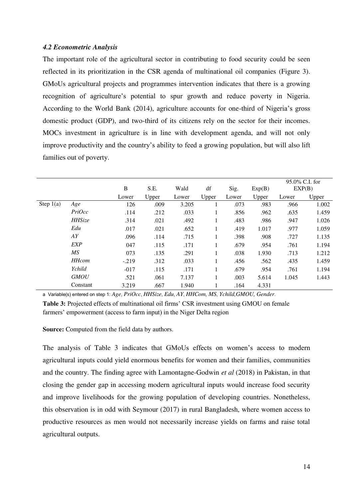#### *4.2 Econometric Analysis*

The important role of the agricultural sector in contributing to food security could be seen reflected in its prioritization in the CSR agenda of multinational oil companies (Figure 3). GMoUs agricultural projects and programmes intervention indicates that there is a growing recognition of agriculture's potential to spur growth and reduce poverty in Nigeria. According to the World Bank (2014), agriculture accounts for one-third of Nigeria's gross domestic product (GDP), and two-third of its citizens rely on the sector for their incomes. MOCs investment in agriculture is in line with development agenda, and will not only improve productivity and the country's ability to feed a growing population, but will also lift families out of poverty.

|             |               |              |       |       |       |       |        |       | $95.0\%$ C.I. for |
|-------------|---------------|--------------|-------|-------|-------|-------|--------|-------|-------------------|
|             |               | $\, {\bf B}$ | S.E.  | Wald  | df    | Sig.  | Exp(B) |       | EXP(B)            |
|             |               | Lower        | Upper | Lower | Upper | Lower | Upper  | Lower | Upper             |
| Step $1(a)$ | Age           | 126          | .009  | 3.205 |       | .073  | .983   | .966  | 1.002             |
|             | PriOcc        | .114         | .212  | .033  | T     | .856  | .962   | .635  | 1.459             |
|             | <b>HHSize</b> | .314         | .021  | .492  | T     | .483  | .986   | .947  | 1.026             |
|             | Edu           | .017         | .021  | .652  |       | .419  | 1.017  | .977  | 1.059             |
|             | AY            | .096         | .114  | .715  | л.    | .398  | .908   | .727  | 1.135             |
|             | <b>EXP</b>    | 047          | .115  | .171  | 1     | .679  | .954   | .761  | 1.194             |
|             | MS            | 073          | .135  | .291  |       | .038  | 1.930  | .713  | 1.212             |
|             | <b>HHcom</b>  | $-.219$      | .312  | .033  |       | .456  | .562   | .435  | 1.459             |
|             | Ychild        | $-017$       | .115  | .171  | Ι.    | .679  | .954   | .761  | 1.194             |
|             | <b>GMOU</b>   | .521         | .061  | 7.137 |       | .003  | 5.614  | 1.045 | 1.443             |
|             | Constant      | 3.219        | .667  | 1.940 |       | .164  | 4.331  |       |                   |

a Variable(s) entered on step 1: *Age*, *PriOcc*, *HHSize*, *Edu*, *AY*, *HHCom, MS*, *Ychild,GMOU, Gender*.

**Table 3:** Projected effects of multinational oil firms' CSR investment using GMOU on female farmers' empowerment (access to farm input) in the Niger Delta region

**Source:** Computed from the field data by authors.

The analysis of Table 3 indicates that GMoUs effects on women's access to modern agricultural inputs could yield enormous benefits for women and their families, communities and the country. The finding agree with Lamontagne-Godwin *et al* (2018) in Pakistan, in that closing the gender gap in accessing modern agricultural inputs would increase food security and improve livelihoods for the growing population of developing countries. Nonetheless, this observation is in odd with Seymour (2017) in rural Bangladesh, where women access to productive resources as men would not necessarily increase yields on farms and raise total agricultural outputs.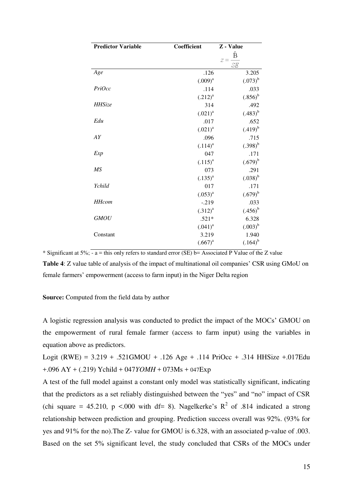| <b>Predictor Variable</b> | Coefficient  | Z - Value        |
|---------------------------|--------------|------------------|
|                           |              | Ê<br>$z =$<br>SE |
| Age                       | .126         | 3.205            |
|                           | $(.009)^{a}$ | $(.073)^{b}$     |
| PriOcc                    | .114         | .033             |
|                           | $(.212)^{a}$ | $(.856)^{b}$     |
| <b>HHSize</b>             | 314          | .492             |
|                           | $(.021)^{a}$ | $(.483)^{b}$     |
| Edu                       | .017         | .652             |
|                           | $(.021)^{a}$ | $(.419)^{b}$     |
| AY                        | .096         | .715             |
|                           | $(.114)^{a}$ | $(.398)^{b}$     |
| Exp                       | 047          | .171             |
|                           | $(.115)^{a}$ | $(.679)^{b}$     |
| MS                        | 073          | .291             |
|                           | $(.135)^{a}$ | $(.038)^{b}$     |
| Ychild                    | 017          | .171             |
|                           | $(.053)^{a}$ | $(.679)^{b}$     |
| <b>HHcom</b>              | $-.219$      | .033             |
|                           | $(.312)^{a}$ | $(.456)^{b}$     |
| <b>GMOU</b>               | $.521*$      | 6.328            |
|                           | $(.041)^{a}$ | $(.003)^{b}$     |
| Constant                  | 3.219        | 1.940            |
|                           | $(.667)^{a}$ | $(.164)^{b}$     |

\* Significant at 5%; - a = this only refers to standard error (SE) b= Associated P Value of the Z value **Table 4**: Z value table of analysis of the impact of multinational oil companies' CSR using GMoU on female farmers' empowerment (access to farm input) in the Niger Delta region

#### **Source:** Computed from the field data by author

A logistic regression analysis was conducted to predict the impact of the MOCs' GMOU on the empowerment of rural female farmer (access to farm input) using the variables in equation above as predictors.

Logit (RWE) = 3.219 + .521GMOU + .126 Age + .114 PriOcc + .314 HHSize +.017Edu +.096 AY + (.219) Ychild + 047*YOMH* + 073Ms + 047Exp

A test of the full model against a constant only model was statistically significant, indicating that the predictors as a set reliably distinguished between the "yes" and "no" impact of CSR (chi square = 45.210, p <.000 with df= 8). Nagelkerke's  $R^2$  of .814 indicated a strong relationship between prediction and grouping. Prediction success overall was 92%. (93% for yes and 91% for the no).The Z- value for GMOU is 6.328, with an associated p-value of .003. Based on the set 5% significant level, the study concluded that CSRs of the MOCs under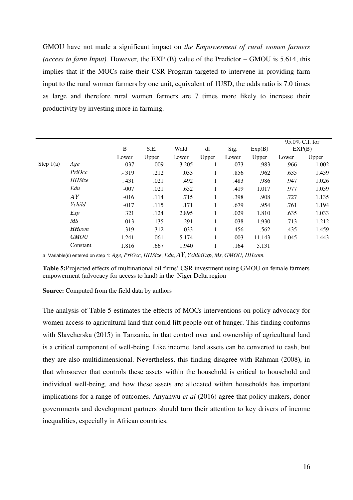GMOU have not made a significant impact on *the Empowerment of rural women farmers (access to farm Input).* However, the EXP (B) value of the Predictor – GMOU is 5.614, this implies that if the MOCs raise their CSR Program targeted to intervene in providing farm input to the rural women farmers by one unit, equivalent of 1USD, the odds ratio is 7.0 times as large and therefore rural women farmers are 7 times more likely to increase their productivity by investing more in farming.

|             |               | B       | S.E.  | Wald  | df           | Sig.  | Exp(B) |       | $95.0\%$ C.I. for<br>EXP(B) |
|-------------|---------------|---------|-------|-------|--------------|-------|--------|-------|-----------------------------|
|             |               | Lower   | Upper | Lower | Upper        | Lower | Upper  | Lower | Upper                       |
| Step $1(a)$ | Age           | 037     | .009  | 3.205 |              | .073  | .983   | .966  | 1.002                       |
|             | PriOcc        | $-319$  | .212  | .033  | -            | .856  | .962   | .635  | 1.459                       |
|             | <b>HHSize</b> | .431    | .021  | .492  | $\mathbf{I}$ | .483  | .986   | .947  | 1.026                       |
|             | Edu           | $-007$  | .021  | .652  |              | .419  | 1.017  | .977  | 1.059                       |
|             | AY            | $-016$  | .114  | .715  | л.           | .398  | .908   | .727  | 1.135                       |
|             | Ychild        | $-017$  | .115  | .171  | л.           | .679  | .954   | .761  | 1.194                       |
|             | Exp           | 321     | .124  | 2.895 |              | .029  | 1.810  | .635  | 1.033                       |
|             | MS            | $-013$  | .135  | .291  | 1            | .038  | 1.930  | .713  | 1.212                       |
|             | <b>HHcom</b>  | $-.319$ | .312  | .033  |              | .456  | .562   | .435  | 1.459                       |
|             | <b>GMOU</b>   | 1.241   | .061  | 5.174 |              | .003  | 11.143 | 1.045 | 1.443                       |
|             | Constant      | 1.816   | .667  | 1.940 |              | .164  | 5.131  |       |                             |

a Variable(s) entered on step 1: *Age*, *PriOcc*, *HHSize*, *Edu*, *AY*, *YchildExp*, *Ms*, *GMOU, HHcom*.

**Table 5:**Projected effects of multinational oil firms' CSR investment using GMOU on female farmers empowerment (advocacy for access to land) in the Niger Delta region

**Source:** Computed from the field data by authors

The analysis of Table 5 estimates the effects of MOCs interventions on policy advocacy for women access to agricultural land that could lift people out of hunger. This finding conforms with Slavcherska (2015) in Tanzania, in that control over and ownership of agricultural land is a critical component of well-being. Like income, land assets can be converted to cash, but they are also multidimensional. Nevertheless, this finding disagree with Rahman (2008), in that whosoever that controls these assets within the household is critical to household and individual well-being, and how these assets are allocated within households has important implications for a range of outcomes. Anyanwu *et al* (2016) agree that policy makers, donor governments and development partners should turn their attention to key drivers of income inequalities, especially in African countries.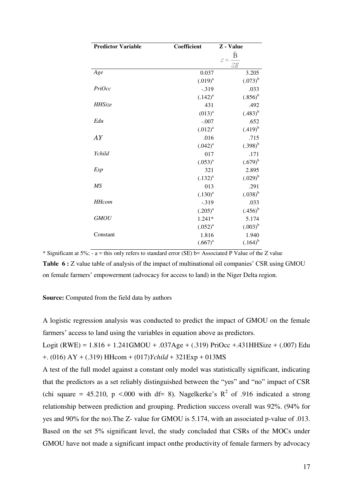| <b>Predictor Variable</b> | Coefficient  | Z - Value        |
|---------------------------|--------------|------------------|
|                           |              | Ê<br>$z =$<br>SE |
| Age                       | 0.037        | 3.205            |
|                           | $(.019)^{a}$ | $(.073)^{b}$     |
| PriOcc                    | $-.319$      | .033             |
|                           | $(.142)^{a}$ | $(.856)^{b}$     |
| <b>HHSize</b>             | 431          | .492             |
|                           | $(013)^{a}$  | $(.483)^{b}$     |
| Edu                       | $-.007$      | .652             |
|                           | $(.012)^{a}$ | $(.419)^{b}$     |
| AY                        | .016         | .715             |
|                           | $(.042)^{a}$ | $(.398)^{b}$     |
| Ychild                    | 017          | .171             |
|                           | $(.053)^{a}$ | $(.679)^{b}$     |
| Exp                       | 321          | 2.895            |
|                           | $(.132)^{a}$ | $(.029)^{b}$     |
| MS                        | 013          | .291             |
|                           | $(.130)^{a}$ | $(.038)^{b}$     |
| <b>HHcom</b>              | $-.319$      | .033             |
|                           | $(.205)^{a}$ | $(.456)^{b}$     |
| <b>GMOU</b>               | $1.241*$     | 5.174            |
|                           | $(.052)^{a}$ | $(.003)^{b}$     |
| Constant                  | 1.816        | 1.940            |
|                           | $(.667)^{a}$ | $(.164)^{b}$     |

\* Significant at 5%; - a = this only refers to standard error (SE) b= Associated P Value of the Z value **Table 6 :** *Z* value table of analysis of the impact of multinational oil companies' CSR using GMOU on female farmers' empowerment (advocacy for access to land) in the Niger Delta region.

#### **Source:** Computed from the field data by authors

A logistic regression analysis was conducted to predict the impact of GMOU on the female farmers' access to land using the variables in equation above as predictors.

Logit (RWE) = 1.816 + 1.241GMOU + .037Age + (.319) PriOcc +.431HHSize + (.007) Edu +. (016) AY + (.319) HHcom + (017)*Ychild* + 321Exp + 013MS

A test of the full model against a constant only model was statistically significant, indicating that the predictors as a set reliably distinguished between the "yes" and "no" impact of CSR (chi square = 45.210, p <.000 with df= 8). Nagelkerke's  $R^2$  of .916 indicated a strong relationship between prediction and grouping. Prediction success overall was 92%. (94% for yes and 90% for the no).The Z- value for GMOU is 5.174, with an associated p-value of .013. Based on the set 5% significant level, the study concluded that CSRs of the MOCs under GMOU have not made a significant impact onthe productivity of female farmers by advocacy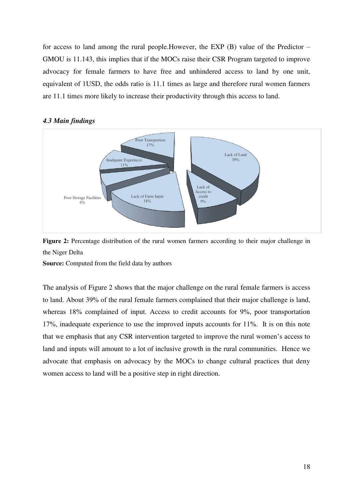for access to land among the rural people.However, the EXP (B) value of the Predictor – GMOU is 11.143, this implies that if the MOCs raise their CSR Program targeted to improve advocacy for female farmers to have free and unhindered access to land by one unit, equivalent of 1USD, the odds ratio is 11.1 times as large and therefore rural women farmers are 11.1 times more likely to increase their productivity through this access to land.

#### *4.3 Main findings*



**Figure 2:** Percentage distribution of the rural women farmers according to their major challenge in the Niger Delta

**Source:** Computed from the field data by authors

The analysis of Figure 2 shows that the major challenge on the rural female farmers is access to land. About 39% of the rural female farmers complained that their major challenge is land, whereas 18% complained of input. Access to credit accounts for 9%, poor transportation 17%, inadequate experience to use the improved inputs accounts for 11%. It is on this note that we emphasis that any CSR intervention targeted to improve the rural women's access to land and inputs will amount to a lot of inclusive growth in the rural communities. Hence we advocate that emphasis on advocacy by the MOCs to change cultural practices that deny women access to land will be a positive step in right direction.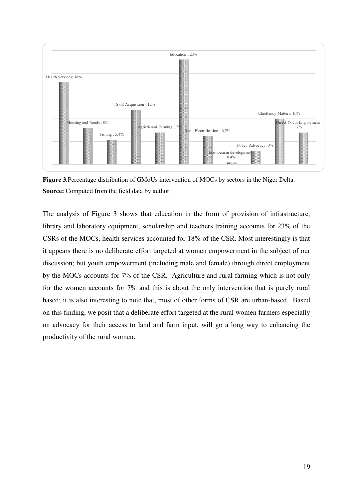

**Figure 3***.*Percentage distribution of GMoUs intervention of MOCs by sectors in the Niger Delta. **Source:** Computed from the field data by author.

The analysis of Figure 3 shows that education in the form of provision of infrastructure, library and laboratory equipment, scholarship and teachers training accounts for 23% of the CSRs of the MOCs, health services accounted for 18% of the CSR. Most interestingly is that it appears there is no deliberate effort targeted at women empowerment in the subject of our discussion; but youth empowerment (including male and female) through direct employment by the MOCs accounts for 7% of the CSR. Agriculture and rural farming which is not only for the women accounts for 7% and this is about the only intervention that is purely rural based; it is also interesting to note that, most of other forms of CSR are urban-based. Based on this finding, we posit that a deliberate effort targeted at the rural women farmers especially on advocacy for their access to land and farm input, will go a long way to enhancing the productivity of the rural women.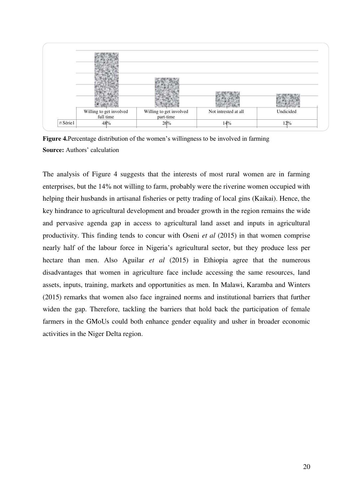|                | Willing to get involved<br>full time | Willing to get involved<br>part-time | Not intrested at all | Undicided |
|----------------|--------------------------------------|--------------------------------------|----------------------|-----------|
| <b>■Série1</b> | 48%                                  | 26%                                  | 14%                  | $12\%$    |

**Figure 4.**Percentage distribution of the women's willingness to be involved in farming **Source:** Authors' calculation

The analysis of Figure 4 suggests that the interests of most rural women are in farming enterprises, but the 14% not willing to farm, probably were the riverine women occupied with helping their husbands in artisanal fisheries or petty trading of local gins (Kaikai). Hence, the key hindrance to agricultural development and broader growth in the region remains the wide and pervasive agenda gap in access to agricultural land asset and inputs in agricultural productivity. This finding tends to concur with Oseni *et al* (2015) in that women comprise nearly half of the labour force in Nigeria's agricultural sector, but they produce less per hectare than men. Also Aguilar *et al* (2015) in Ethiopia agree that the numerous disadvantages that women in agriculture face include accessing the same resources, land assets, inputs, training, markets and opportunities as men. In Malawi, Karamba and Winters (2015) remarks that women also face ingrained norms and institutional barriers that further widen the gap. Therefore, tackling the barriers that hold back the participation of female farmers in the GMoUs could both enhance gender equality and usher in broader economic activities in the Niger Delta region.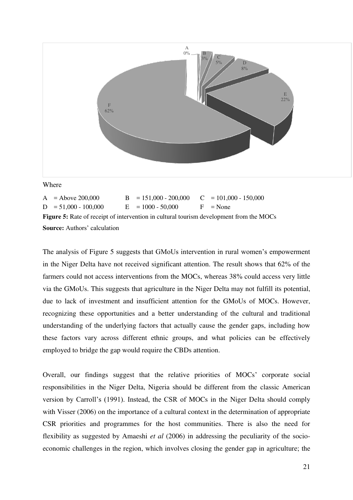

Where

|                                                                                                | $A =$ Above 200,000    |  | $B = 151,000 - 200,000$ $C = 101,000 - 150,000$ |  |            |  |  |  |
|------------------------------------------------------------------------------------------------|------------------------|--|-------------------------------------------------|--|------------|--|--|--|
|                                                                                                | $D = 51,000 - 100,000$ |  | $E = 1000 - 50.000$                             |  | $F = None$ |  |  |  |
| <b>Figure 5:</b> Rate of receipt of intervention in cultural tourism development from the MOCs |                        |  |                                                 |  |            |  |  |  |
| <b>Source:</b> Authors' calculation                                                            |                        |  |                                                 |  |            |  |  |  |

The analysis of Figure 5 suggests that GMoUs intervention in rural women's empowerment in the Niger Delta have not received significant attention. The result shows that 62% of the farmers could not access interventions from the MOCs, whereas 38% could access very little via the GMoUs. This suggests that agriculture in the Niger Delta may not fulfill its potential, due to lack of investment and insufficient attention for the GMoUs of MOCs. However, recognizing these opportunities and a better understanding of the cultural and traditional understanding of the underlying factors that actually cause the gender gaps, including how these factors vary across different ethnic groups, and what policies can be effectively employed to bridge the gap would require the CBDs attention.

Overall, our findings suggest that the relative priorities of MOCs' corporate social responsibilities in the Niger Delta, Nigeria should be different from the classic American version by Carroll's (1991). Instead, the CSR of MOCs in the Niger Delta should comply with Visser (2006) on the importance of a cultural context in the determination of appropriate CSR priorities and programmes for the host communities. There is also the need for flexibility as suggested by Amaeshi *et al* (2006) in addressing the peculiarity of the socioeconomic challenges in the region, which involves closing the gender gap in agriculture; the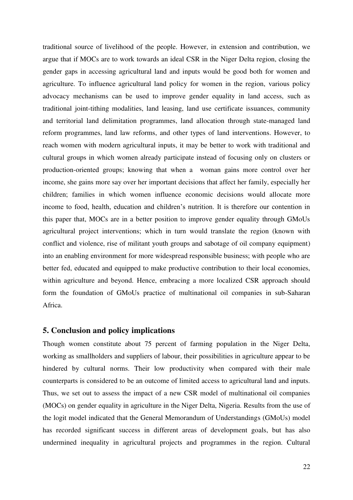traditional source of livelihood of the people. However, in extension and contribution, we argue that if MOCs are to work towards an ideal CSR in the Niger Delta region, closing the gender gaps in accessing agricultural land and inputs would be good both for women and agriculture. To influence agricultural land policy for women in the region, various policy advocacy mechanisms can be used to improve gender equality in land access, such as traditional joint-tithing modalities, land leasing, land use certificate issuances, community and territorial land delimitation programmes, land allocation through state-managed land reform programmes, land law reforms, and other types of land interventions. However, to reach women with modern agricultural inputs, it may be better to work with traditional and cultural groups in which women already participate instead of focusing only on clusters or production-oriented groups; knowing that when a woman gains more control over her income, she gains more say over her important decisions that affect her family, especially her children; families in which women influence economic decisions would allocate more income to food, health, education and children's nutrition. It is therefore our contention in this paper that, MOCs are in a better position to improve gender equality through GMoUs agricultural project interventions; which in turn would translate the region (known with conflict and violence, rise of militant youth groups and sabotage of oil company equipment) into an enabling environment for more widespread responsible business; with people who are better fed, educated and equipped to make productive contribution to their local economies, within agriculture and beyond. Hence, embracing a more localized CSR approach should form the foundation of GMoUs practice of multinational oil companies in sub-Saharan Africa.

#### **5. Conclusion and policy implications**

Though women constitute about 75 percent of farming population in the Niger Delta, working as smallholders and suppliers of labour, their possibilities in agriculture appear to be hindered by cultural norms. Their low productivity when compared with their male counterparts is considered to be an outcome of limited access to agricultural land and inputs. Thus, we set out to assess the impact of a new CSR model of multinational oil companies (MOCs) on gender equality in agriculture in the Niger Delta, Nigeria. Results from the use of the logit model indicated that the General Memorandum of Understandings (GMoUs) model has recorded significant success in different areas of development goals, but has also undermined inequality in agricultural projects and programmes in the region. Cultural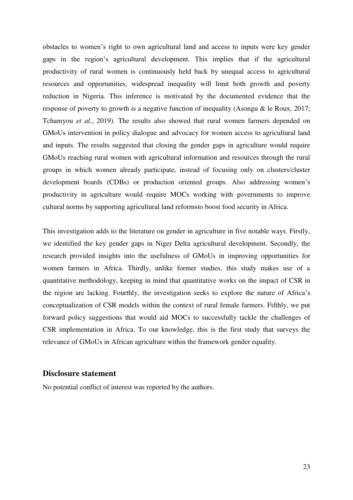obstacles to women's right to own agricultural land and access to inputs were key gender gaps in the region's agricultural development. This implies that if the agricultural productivity of rural women is continuously held back by unequal access to agricultural resources and opportunities, widespread inequality will limit both growth and poverty reduction in Nigeria. This inference is motivated by the documented evidence that the response of poverty to growth is a negative function of inequality (Asongu & le Roux, 2017; Tchamyou *et al*., 2019). The results also showed that rural women farmers depended on GMoUs intervention in policy dialogue and advocacy for women access to agricultural land and inputs. The results suggested that closing the gender gaps in agriculture would require GMoUs reaching rural women with agricultural information and resources through the rural groups in which women already participate, instead of focusing only on clusters/cluster development boards (CDBs) or production oriented groups. Also addressing women's productivity in agriculture would require MOCs working with governments to improve cultural norms by supporting agricultural land reformsto boost food security in Africa.

This investigation adds to the literature on gender in agriculture in five notable ways. Firstly, we identified the key gender gaps in Niger Delta agricultural development. Secondly, the research provided insights into the usefulness of GMoUs in improving opportunities for women farmers in Africa. Thirdly, unlike former studies, this study makes use of a quantitative methodology, keeping in mind that quantitative works on the impact of CSR in the region are lacking. Fourthly, the investigation seeks to explore the nature of Africa's conceptualization of CSR models within the context of rural female farmers. Fifthly, we put forward policy suggestions that would aid MOCs to successfully tackle the challenges of CSR implementation in Africa. To our knowledge, this is the first study that surveys the relevance of GMoUs in African agriculture within the framework gender equality.

### **Disclosure statement**

No potential conflict of interest was reported by the authors.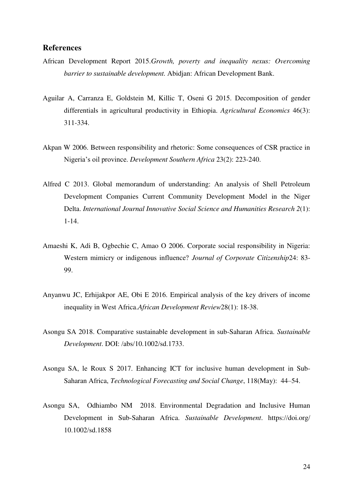# **References**

- African Development Report 2015.*Growth, poverty and inequality nexus: Overcoming barrier to sustainable development.* Abidjan: African Development Bank.
- Aguilar A, Carranza E, Goldstein M, Killic T, Oseni G 2015. Decomposition of gender differentials in agricultural productivity in Ethiopia. *Agricultural Economics* 46(3): 311-334.
- Akpan W 2006. Between responsibility and rhetoric: Some consequences of CSR practice in Nigeria's oil province. *Development Southern Africa* 23(2): 223-240.
- Alfred C 2013. Global memorandum of understanding: An analysis of Shell Petroleum Development Companies Current Community Development Model in the Niger Delta. *International Journal Innovative Social Science and Humanities Research 2*(1): 1-14.
- Amaeshi K, Adi B, Ogbechie C, Amao O 2006. Corporate social responsibility in Nigeria: Western mimicry or indigenous influence? *Journal of Corporate Citizenship*24: 83- 99.
- Anyanwu JC, Erhijakpor AE, Obi E 2016. Empirical analysis of the key drivers of income inequality in West Africa.*African Development Review*28(1): 18-38.
- Asongu SA 2018. Comparative sustainable development in sub-Saharan Africa. *Sustainable Development*. DOI: /abs/10.1002/sd.1733.
- Asongu SA, le Roux S 2017. Enhancing ICT for inclusive human development in Sub-Saharan Africa, *Technological Forecasting and Social Change*, 118(May): 44–54.
- Asongu SA, Odhiambo NM 2018. Environmental Degradation and Inclusive Human Development in Sub-Saharan Africa. *Sustainable Development*. https://doi.org/ 10.1002/sd.1858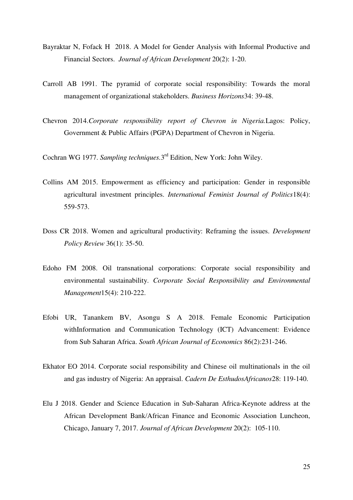- Bayraktar N, Fofack H 2018. A Model for Gender Analysis with Informal Productive and Financial Sectors. *Journal of African Development* 20(2): 1-20.
- Carroll AB 1991. The pyramid of corporate social responsibility: Towards the moral management of organizational stakeholders. *Business Horizons*34: 39-48.
- Chevron 2014.*Corporate responsibility report of Chevron in Nigeria.*Lagos: Policy, Government & Public Affairs (PGPA) Department of Chevron in Nigeria.

Cochran WG 1977. Sampling techniques.3<sup>rd</sup> Edition, New York: John Wiley.

- Collins AM 2015. Empowerment as efficiency and participation: Gender in responsible agricultural investment principles. *International Feminist Journal of Politics*18(4): 559-573.
- Doss CR 2018. Women and agricultural productivity: Reframing the issues. *Development Policy Review* 36(1): 35-50.
- Edoho FM 2008. Oil transnational corporations: Corporate social responsibility and environmental sustainability. *Corporate Social Responsibility and Environmental Management*15(4): 210-222.
- Efobi UR, Tanankem BV, Asongu S A 2018. Female Economic Participation withInformation and Communication Technology (ICT) Advancement: Evidence from Sub Saharan Africa. *South African Journal of Economics* 86(2):231-246.
- Ekhator EO 2014. Corporate social responsibility and Chinese oil multinationals in the oil and gas industry of Nigeria: An appraisal. *Cadern De EsthudosAfricanos*28: 119-140.
- Elu J 2018. Gender and Science Education in Sub-Saharan Africa-Keynote address at the African Development Bank/African Finance and Economic Association Luncheon, Chicago, January 7, 2017. *Journal of African Development* 20(2): 105-110.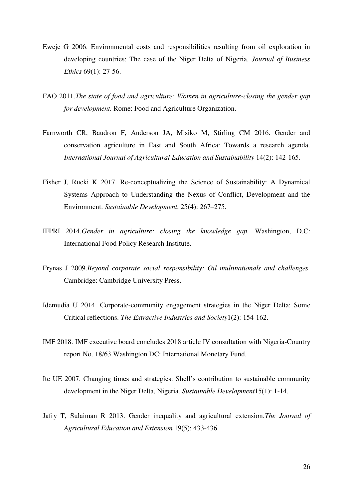- Eweje G 2006. Environmental costs and responsibilities resulting from oil exploration in developing countries: The case of the Niger Delta of Nigeria. *Journal of Business Ethics* 69(1): 27-56.
- FAO 2011.*The state of food and agriculture: Women in agriculture-closing the gender gap for development.* Rome: Food and Agriculture Organization.
- Farnworth CR, Baudron F, Anderson JA, Misiko M, Stirling CM 2016. Gender and conservation agriculture in East and South Africa: Towards a research agenda. *International Journal of Agricultural Education and Sustainability* 14(2): 142-165.
- Fisher J, Rucki K 2017. Re-conceptualizing the Science of Sustainability: A Dynamical Systems Approach to Understanding the Nexus of Conflict, Development and the Environment. *Sustainable Development*, 25(4): 267–275.
- IFPRI 2014.*Gender in agriculture: closing the knowledge gap.* Washington, D.C: International Food Policy Research Institute.
- Frynas J 2009.*Beyond corporate social responsibility: Oil multinationals and challenges.*  Cambridge: Cambridge University Press.
- Idemudia U 2014. Corporate-community engagement strategies in the Niger Delta: Some Critical reflections. *The Extractive Industries and Society*1(2): 154-162.
- IMF 2018. IMF executive board concludes 2018 article IV consultation with Nigeria-Country report No. 18/63 Washington DC: International Monetary Fund.
- Ite UE 2007. Changing times and strategies: Shell's contribution to sustainable community development in the Niger Delta, Nigeria. *Sustainable Development*15(1): 1-14.
- Jafry T, Sulaiman R 2013. Gender inequality and agricultural extension.*The Journal of Agricultural Education and Extension* 19(5): 433-436.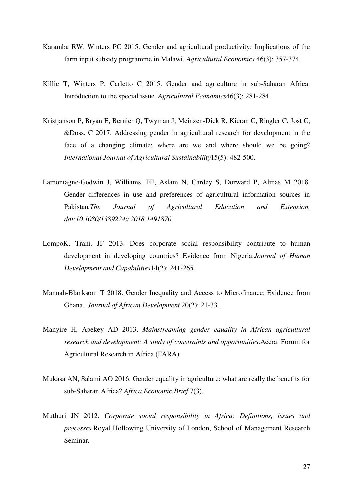- Karamba RW, Winters PC 2015. Gender and agricultural productivity: Implications of the farm input subsidy programme in Malawi. *Agricultural Economics* 46(3): 357-374.
- Killic T, Winters P, Carletto C 2015. Gender and agriculture in sub-Saharan Africa: Introduction to the special issue. *Agricultural Economics*46(3): 281-284.
- Kristjanson P, Bryan E, Bernier Q, Twyman J, Meinzen-Dick R, Kieran C, Ringler C, Jost C, &Doss, C 2017. Addressing gender in agricultural research for development in the face of a changing climate: where are we and where should we be going? *International Journal of Agricultural Sustainability*15(5): 482-500.
- Lamontagne-Godwin J, Williams, FE, Aslam N, Cardey S, Dorward P, Almas M 2018. Gender differences in use and preferences of agricultural information sources in Pakistan.*The Journal of Agricultural Education and Extension, doi:10.1080/1389224x.2018.1491870.*
- LompoK, Trani, JF 2013. Does corporate social responsibility contribute to human development in developing countries? Evidence from Nigeria.*Journal of Human Development and Capabilities*14(2): 241-265.
- Mannah-Blankson T 2018. Gender Inequality and Access to Microfinance: Evidence from Ghana. *Journal of African Development* 20(2): 21-33.
- Manyire H, Apekey AD 2013. *Mainstreaming gender equality in African agricultural research and development: A study of constraints and opportunities.*Accra: Forum for Agricultural Research in Africa (FARA).
- Mukasa AN, Salami AO 2016. Gender equality in agriculture: what are really the benefits for sub-Saharan Africa? *Africa Economic Brief* 7(3).
- Muthuri JN 2012. *Corporate social responsibility in Africa: Definitions, issues and processes.*Royal Hollowing University of London, School of Management Research Seminar.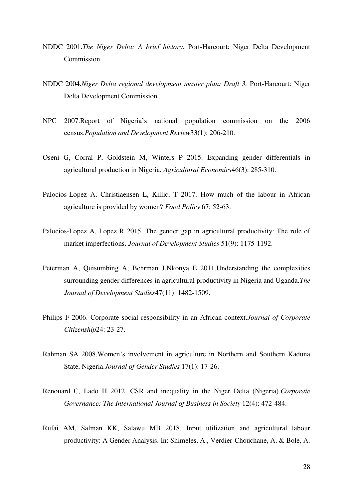- NDDC 2001.*The Niger Delta: A brief history.* Port-Harcourt: Niger Delta Development Commission.
- NDDC 2004.*Niger Delta regional development master plan: Draft 3.* Port-Harcourt: Niger Delta Development Commission.
- NPC 2007.Report of Nigeria's national population commission on the 2006 census.*Population and Development Review*33(1): 206-210.
- Oseni G, Corral P, Goldstein M, Winters P 2015. Expanding gender differentials in agricultural production in Nigeria. *Agricultural Economics*46(3): 285-310.
- Palocios-Lopez A, Christiaensen L, Killic, T 2017. How much of the labour in African agriculture is provided by women? *Food Policy* 67: 52-63.
- Palocios-Lopez A, Lopez R 2015. The gender gap in agricultural productivity: The role of market imperfections. *Journal of Development Studies* 51(9): 1175-1192.
- Peterman A, Quisumbing A, Behrman J,Nkonya E 2011.Understanding the complexities surrounding gender differences in agricultural productivity in Nigeria and Uganda.*The Journal of Development Studies*47(11): 1482-1509.
- Philips F 2006. Corporate social responsibility in an African context.*Journal of Corporate Citizenship*24: 23-27.
- Rahman SA 2008.Women's involvement in agriculture in Northern and Southern Kaduna State, Nigeria.*Journal of Gender Studies* 17(1): 17-26.
- Renouard C, Lado H 2012. CSR and inequality in the Niger Delta (Nigeria).*Corporate Governance: The International Journal of Business in Society* 12(4): 472-484.
- Rufai AM, Salman KK, Salawu MB 2018. Input utilization and agricultural labour productivity: A Gender Analysis. In: Shimeles, A., Verdier-Chouchane, A. & Bole, A.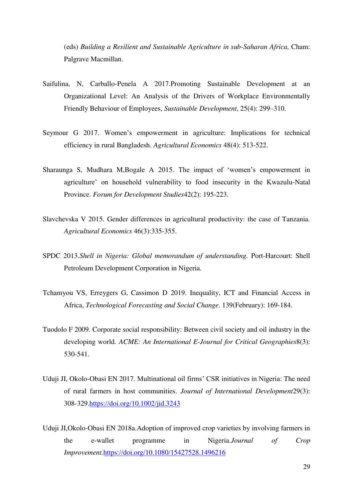(eds) *Building a Resilient and Sustainable Agriculture in sub-Saharan Africa,* Cham: Palgrave Macmillan.

- Saifulina, N, Carballo-Penela A 2017.Promoting Sustainable Development at an Organizational Level: An Analysis of the Drivers of Workplace Environmentally Friendly Behaviour of Employees, *Sustainable Development*, 25(4): 299–310.
- Seymour G 2017. Women's empowerment in agriculture: Implications for technical efficiency in rural Bangladesh. *Agricultural Economics* 48(4): 513-522.
- Sharaunga S, Mudhara M,Bogale A 2015. The impact of 'women's empowerment in agriculture' on household vulnerability to food insecurity in the Kwazulu-Natal Province. *Forum for Development Studies*42(2): 195-223.
- Slavchevska V 2015. Gender differences in agricultural productivity: the case of Tanzania. *Agricultural Economics* 46(3):335-355.
- SPDC 2013.*Shell in Nigeria: Global memorandum of understanding.* Port-Harcourt: Shell Petroleum Development Corporation in Nigeria.
- Tchamyou VS, Erreygers G, Cassimon D 2019. Inequality, ICT and Financial Access in Africa, *Technological Forecasting and Social Change*. 139(February): 169-184.
- Tuodolo F 2009. Corporate social responsibility: Between civil society and oil industry in the developing world. *ACME: An International E-Journal for Critical Geographies*8(3): 530-541.
- Uduji JI, Okolo-Obasi EN 2017. Multinational oil firms' CSR initiatives in Nigeria: The need of rural farmers in host communities. *Journal of International Development*29(3): 308-329[.https://doi.org/10.1002/jid.3243](https://doi.org/10.1002/jid.3243)
- Uduji JI,Okolo-Obasi EN 2018a.Adoption of improved crop varieties by involving farmers in the e-wallet programme in Nigeria.*Journal of Crop Improvement.*<https://doi.org/10.1080/15427528.1496216>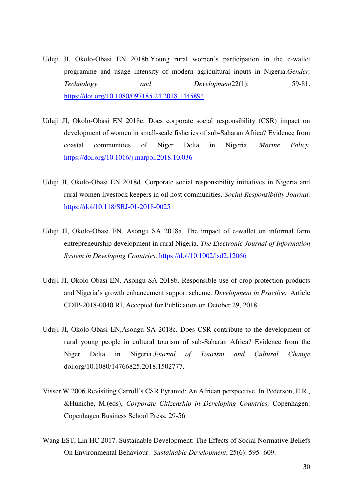- Uduji JI, Okolo-Obasi EN 2018b.Young rural women's participation in the e-wallet programme and usage intensity of modern agricultural inputs in Nigeria.*Gender, Technology and Development*22(1): 59-81. <https://doi.org/10.1080/097185.24.2018.1445894>
- Uduji JI, Okolo-Obasi EN 2018c. Does corporate social responsibility (CSR) impact on development of women in small-scale fisheries of sub-Saharan Africa? Evidence from coastal communities of Niger Delta in Nigeria. *Marine Policy.* <https://doi.org/10.1016/j.marpol.2018.10.036>
- Uduji JI, Okolo-Obasi EN 2018d. Corporate social responsibility initiatives in Nigeria and rural women livestock keepers in oil host communities. *Social Responsibility Journal.* <https://doi/10.118/SRJ-01-2018-0025>
- Uduji JI, Okolo-Obasi EN, Asongu SA 2018a. The impact of e-wallet on informal farm entrepreneurship development in rural Nigeria. *The Electronic Journal of Information System in Developing Countries.* <https://doi/10.1002/isd2.12066>
- Uduji JI, Okolo-Obasi EN, Asongu SA 2018b. Responsible use of crop protection products and Nigeria's growth enhancement support scheme. *Development in Practice.* Article CDIP-2018-0040.RI, Accepted for Publication on October 29, 2018.
- Uduji JI, Okolo-Obasi EN,Asongu SA 2018c. Does CSR contribute to the development of rural young people in cultural tourism of sub-Saharan Africa? Evidence from the Niger Delta in Nigeria.*Journal of Tourism and Cultural Change*  doi.org/10.1080/14766825.2018.1502777.
- Visser W 2006.Revisiting Carroll's CSR Pyramid: An African perspective. In Pederson, E.R., &Huniche, M.(eds), *Corporate Citizenship in Developing Countries,* Copenhagen: Copenhagen Business School Press, 29-56.
- Wang EST, Lin HC 2017. Sustainable Development: The Effects of Social Normative Beliefs On Environmental Behaviour. *Sustainable Development*, 25(6): 595- 609.